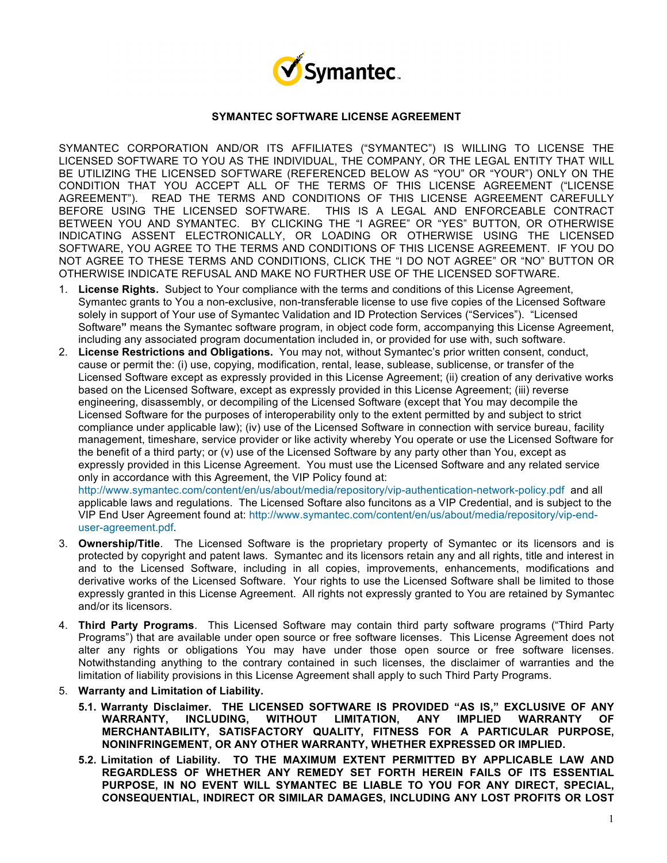

## **SYMANTEC SOFTWARE LICENSE AGREEMENT**

SYMANTEC CORPORATION AND/OR ITS AFFILIATES ("SYMANTEC") IS WILLING TO LICENSE THE LICENSED SOFTWARE TO YOU AS THE INDIVIDUAL, THE COMPANY, OR THE LEGAL ENTITY THAT WILL BE UTILIZING THE LICENSED SOFTWARE (REFERENCED BELOW AS "YOU" OR "YOUR") ONLY ON THE CONDITION THAT YOU ACCEPT ALL OF THE TERMS OF THIS LICENSE AGREEMENT ("LICENSE AGREEMENT"). READ THE TERMS AND CONDITIONS OF THIS LICENSE AGREEMENT CAREFULLY BEFORE USING THE LICENSED SOFTWARE. THIS IS A LEGAL AND ENFORCEABLE CONTRACT BETWEEN YOU AND SYMANTEC. BY CLICKING THE "I AGREE" OR "YES" BUTTON, OR OTHERWISE INDICATING ASSENT ELECTRONICALLY, OR LOADING OR OTHERWISE USING THE LICENSED SOFTWARE, YOU AGREE TO THE TERMS AND CONDITIONS OF THIS LICENSE AGREEMENT. IF YOU DO NOT AGREE TO THESE TERMS AND CONDITIONS, CLICK THE "I DO NOT AGREE" OR "NO" BUTTON OR OTHERWISE INDICATE REFUSAL AND MAKE NO FURTHER USE OF THE LICENSED SOFTWARE.

- 1. **License Rights.** Subject to Your compliance with the terms and conditions of this License Agreement, Symantec grants to You a non-exclusive, non-transferable license to use five copies of the Licensed Software solely in support of Your use of Symantec Validation and ID Protection Services ("Services"). "Licensed Software**"** means the Symantec software program, in object code form, accompanying this License Agreement, including any associated program documentation included in, or provided for use with, such software.
- 2. **License Restrictions and Obligations.** You may not, without Symantec's prior written consent, conduct, cause or permit the: (i) use, copying, modification, rental, lease, sublease, sublicense, or transfer of the Licensed Software except as expressly provided in this License Agreement; (ii) creation of any derivative works based on the Licensed Software, except as expressly provided in this License Agreement; (iii) reverse engineering, disassembly, or decompiling of the Licensed Software (except that You may decompile the Licensed Software for the purposes of interoperability only to the extent permitted by and subject to strict compliance under applicable law); (iv) use of the Licensed Software in connection with service bureau, facility management, timeshare, service provider or like activity whereby You operate or use the Licensed Software for the benefit of a third party; or (v) use of the Licensed Software by any party other than You, except as expressly provided in this License Agreement. You must use the Licensed Software and any related service only in accordance with this Agreement, the VIP Policy found at:

http://www.symantec.com/content/en/us/about/media/repository/vip-authentication-network-policy.pdf and all applicable laws and regulations. The Licensed Softare also funcitons as a VIP Credential, and is subject to the VIP End User Agreement found at: http://www.symantec.com/content/en/us/about/media/repository/vip-enduser-agreement.pdf.

- 3. **Ownership/Title**. The Licensed Software is the proprietary property of Symantec or its licensors and is protected by copyright and patent laws. Symantec and its licensors retain any and all rights, title and interest in and to the Licensed Software, including in all copies, improvements, enhancements, modifications and derivative works of the Licensed Software. Your rights to use the Licensed Software shall be limited to those expressly granted in this License Agreement. All rights not expressly granted to You are retained by Symantec and/or its licensors.
- 4. **Third Party Programs**. This Licensed Software may contain third party software programs ("Third Party Programs") that are available under open source or free software licenses. This License Agreement does not alter any rights or obligations You may have under those open source or free software licenses. Notwithstanding anything to the contrary contained in such licenses, the disclaimer of warranties and the limitation of liability provisions in this License Agreement shall apply to such Third Party Programs.
- 5. **Warranty and Limitation of Liability.**
	- **5.1. Warranty Disclaimer. THE LICENSED SOFTWARE IS PROVIDED "AS IS," EXCLUSIVE OF ANY WARRANTY, INCLUDING, WITHOUT LIMITATION, ANY IMPLIED WARRANTY OF MERCHANTABILITY, SATISFACTORY QUALITY, FITNESS FOR A PARTICULAR PURPOSE, NONINFRINGEMENT, OR ANY OTHER WARRANTY, WHETHER EXPRESSED OR IMPLIED.**
	- **5.2. Limitation of Liability. TO THE MAXIMUM EXTENT PERMITTED BY APPLICABLE LAW AND REGARDLESS OF WHETHER ANY REMEDY SET FORTH HEREIN FAILS OF ITS ESSENTIAL PURPOSE, IN NO EVENT WILL SYMANTEC BE LIABLE TO YOU FOR ANY DIRECT, SPECIAL, CONSEQUENTIAL, INDIRECT OR SIMILAR DAMAGES, INCLUDING ANY LOST PROFITS OR LOST**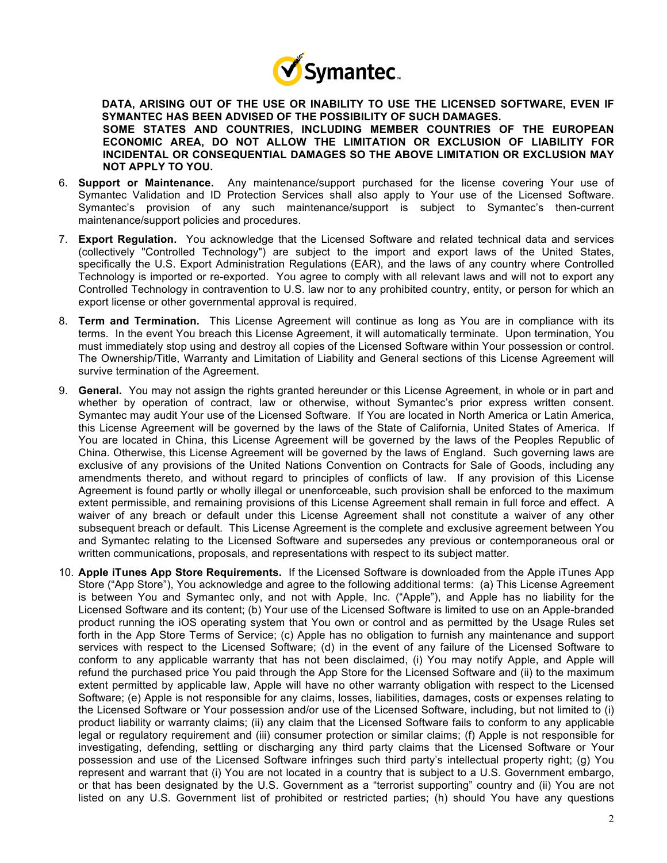

**DATA, ARISING OUT OF THE USE OR INABILITY TO USE THE LICENSED SOFTWARE, EVEN IF SYMANTEC HAS BEEN ADVISED OF THE POSSIBILITY OF SUCH DAMAGES. SOME STATES AND COUNTRIES, INCLUDING MEMBER COUNTRIES OF THE EUROPEAN ECONOMIC AREA, DO NOT ALLOW THE LIMITATION OR EXCLUSION OF LIABILITY FOR INCIDENTAL OR CONSEQUENTIAL DAMAGES SO THE ABOVE LIMITATION OR EXCLUSION MAY NOT APPLY TO YOU.**

- 6. **Support or Maintenance.** Any maintenance/support purchased for the license covering Your use of Symantec Validation and ID Protection Services shall also apply to Your use of the Licensed Software. Symantec's provision of any such maintenance/support is subject to Symantec's then-current maintenance/support policies and procedures.
- 7. **Export Regulation.** You acknowledge that the Licensed Software and related technical data and services (collectively "Controlled Technology") are subject to the import and export laws of the United States, specifically the U.S. Export Administration Regulations (EAR), and the laws of any country where Controlled Technology is imported or re-exported. You agree to comply with all relevant laws and will not to export any Controlled Technology in contravention to U.S. law nor to any prohibited country, entity, or person for which an export license or other governmental approval is required.
- 8. **Term and Termination.** This License Agreement will continue as long as You are in compliance with its terms. In the event You breach this License Agreement, it will automatically terminate. Upon termination, You must immediately stop using and destroy all copies of the Licensed Software within Your possession or control. The Ownership/Title, Warranty and Limitation of Liability and General sections of this License Agreement will survive termination of the Agreement.
- 9. **General.** You may not assign the rights granted hereunder or this License Agreement, in whole or in part and whether by operation of contract, law or otherwise, without Symantec's prior express written consent. Symantec may audit Your use of the Licensed Software. If You are located in North America or Latin America, this License Agreement will be governed by the laws of the State of California, United States of America. If You are located in China, this License Agreement will be governed by the laws of the Peoples Republic of China. Otherwise, this License Agreement will be governed by the laws of England. Such governing laws are exclusive of any provisions of the United Nations Convention on Contracts for Sale of Goods, including any amendments thereto, and without regard to principles of conflicts of law. If any provision of this License Agreement is found partly or wholly illegal or unenforceable, such provision shall be enforced to the maximum extent permissible, and remaining provisions of this License Agreement shall remain in full force and effect. A waiver of any breach or default under this License Agreement shall not constitute a waiver of any other subsequent breach or default. This License Agreement is the complete and exclusive agreement between You and Symantec relating to the Licensed Software and supersedes any previous or contemporaneous oral or written communications, proposals, and representations with respect to its subject matter.
- 10. **Apple iTunes App Store Requirements.** If the Licensed Software is downloaded from the Apple iTunes App Store ("App Store"), You acknowledge and agree to the following additional terms: (a) This License Agreement is between You and Symantec only, and not with Apple, Inc. ("Apple"), and Apple has no liability for the Licensed Software and its content; (b) Your use of the Licensed Software is limited to use on an Apple-branded product running the iOS operating system that You own or control and as permitted by the Usage Rules set forth in the App Store Terms of Service; (c) Apple has no obligation to furnish any maintenance and support services with respect to the Licensed Software; (d) in the event of any failure of the Licensed Software to conform to any applicable warranty that has not been disclaimed, (i) You may notify Apple, and Apple will refund the purchased price You paid through the App Store for the Licensed Software and (ii) to the maximum extent permitted by applicable law, Apple will have no other warranty obligation with respect to the Licensed Software; (e) Apple is not responsible for any claims, losses, liabilities, damages, costs or expenses relating to the Licensed Software or Your possession and/or use of the Licensed Software, including, but not limited to (i) product liability or warranty claims; (ii) any claim that the Licensed Software fails to conform to any applicable legal or regulatory requirement and (iii) consumer protection or similar claims; (f) Apple is not responsible for investigating, defending, settling or discharging any third party claims that the Licensed Software or Your possession and use of the Licensed Software infringes such third party's intellectual property right; (g) You represent and warrant that (i) You are not located in a country that is subject to a U.S. Government embargo, or that has been designated by the U.S. Government as a "terrorist supporting" country and (ii) You are not listed on any U.S. Government list of prohibited or restricted parties; (h) should You have any questions